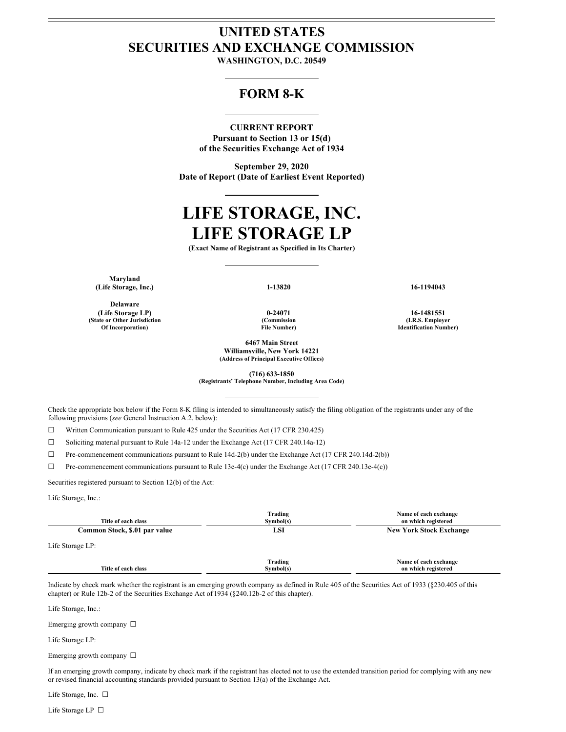## **UNITED STATES SECURITIES AND EXCHANGE COMMISSION**

**WASHINGTON, D.C. 20549**

## **FORM 8-K**

### **CURRENT REPORT**

**Pursuant to Section 13 or 15(d) of the Securities Exchange Act of 1934**

**September 29, 2020 Date of Report (Date of Earliest Event Reported)**

# **LIFE STORAGE, INC. LIFE STORAGE LP**

**(Exact Name of Registrant as Specified in Its Charter)**

**Maryland (Life Storage, Inc.) 1-13820 16-1194043**

**Delaware (Life Storage LP) 0-24071 16-1481551 (State or Other Jurisdiction Of Incorporation)**

**(Commission File Number)**

**6467 Main Street Williamsville, New York 14221 (Address of Principal Executive Offices)**

**(I.R.S. Employer Identification Number)**

**(716) 633-1850**

**(Registrants' Telephone Number, Including Area Code)**

Check the appropriate box below if the Form 8-K filing is intended to simultaneously satisfy the filing obligation of the registrants under any of the following provisions (*see* General Instruction A.2. below):

☐ Written Communication pursuant to Rule 425 under the Securities Act (17 CFR 230.425)

☐ Soliciting material pursuant to Rule 14a-12 under the Exchange Act (17 CFR 240.14a-12)

☐ Pre-commencement communications pursuant to Rule 14d-2(b) under the Exchange Act (17 CFR 240.14d-2(b))

☐ Pre-commencement communications pursuant to Rule 13e-4(c) under the Exchange Act (17 CFR 240.13e-4(c))

Securities registered pursuant to Section 12(b) of the Act:

Life Storage, Inc.:

| Title of each class           | Trading<br>Symbol(s) | Name of each exchange<br>on which registered |
|-------------------------------|----------------------|----------------------------------------------|
| Common Stock, \$.01 par value | LSI                  | <b>New York Stock Exchange</b>               |
| Life Storage LP:              |                      |                                              |
| Title of each class           | Trading<br>Symbol(s) | Name of each exchange<br>on which registered |

Indicate by check mark whether the registrant is an emerging growth company as defined in Rule 405 of the Securities Act of 1933 (§230.405 of this chapter) or Rule 12b-2 of the Securities Exchange Act of 1934 (§240.12b-2 of this chapter).

Life Storage, Inc.:

Emerging growth company  $\Box$ 

Life Storage LP:

Emerging growth company □

If an emerging growth company, indicate by check mark if the registrant has elected not to use the extended transition period for complying with any new or revised financial accounting standards provided pursuant to Section 13(a) of the Exchange Act.

Life Storage, Inc. □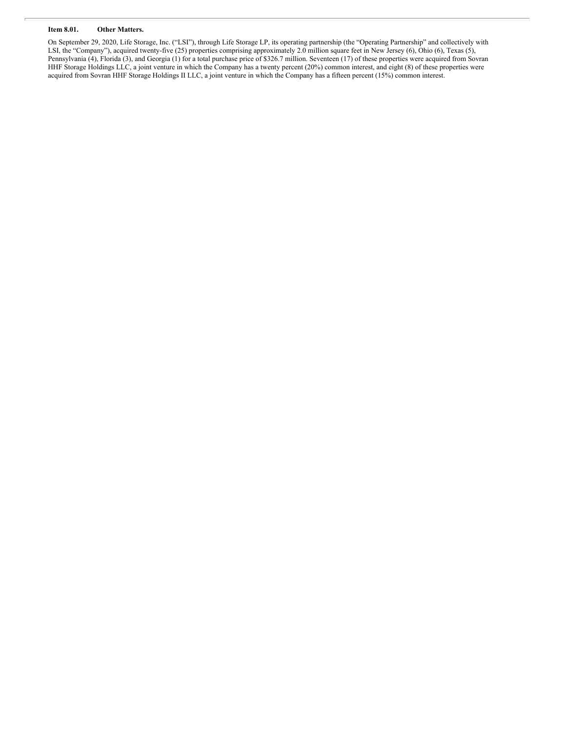#### **Item 8.01. Other Matters.**

On September 29, 2020, Life Storage, Inc. ("LSI"), through Life Storage LP, its operating partnership (the "Operating Partnership" and collectively with LSI, the "Company"), acquired twenty-five (25) properties comprising approximately 2.0 million square feet in New Jersey (6), Ohio (6), Texas (5), Pennsylvania (4), Florida (3), and Georgia (1) for a total purchase price of \$326.7 million. Seventeen (17) of these properties were acquired from Sovran HHF Storage Holdings LLC, a joint venture in which the Company has a twenty percent (20%) common interest, and eight (8) of these properties were acquired from Sovran HHF Storage Holdings II LLC, a joint venture in which the Company has a fifteen percent (15%) common interest.